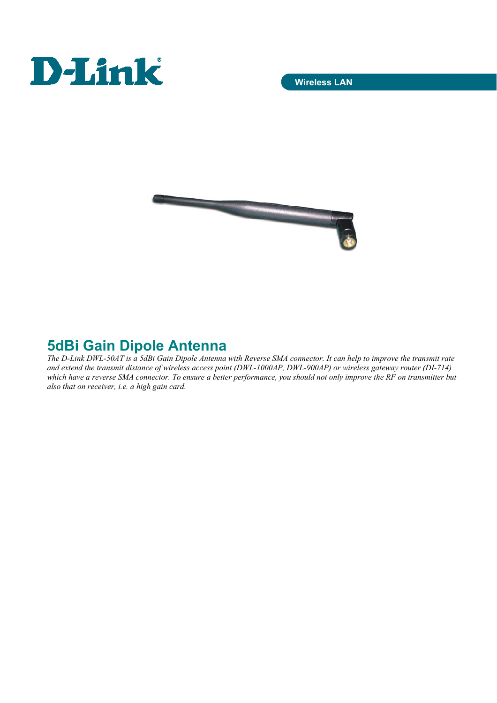



## **5dBi Gain Dipole Antenna**

*The D-Link DWL-50AT is a 5dBi Gain Dipole Antenna with Reverse SMA connector. It can help to improve the transmit rate and extend the transmit distance of wireless access point (DWL-1000AP, DWL-900AP) or wireless gateway router (DI-714) which have a reverse SMA connector. To ensure a better performance, you should not only improve the RF on transmitter but also that on receiver, i.e. a high gain card.*